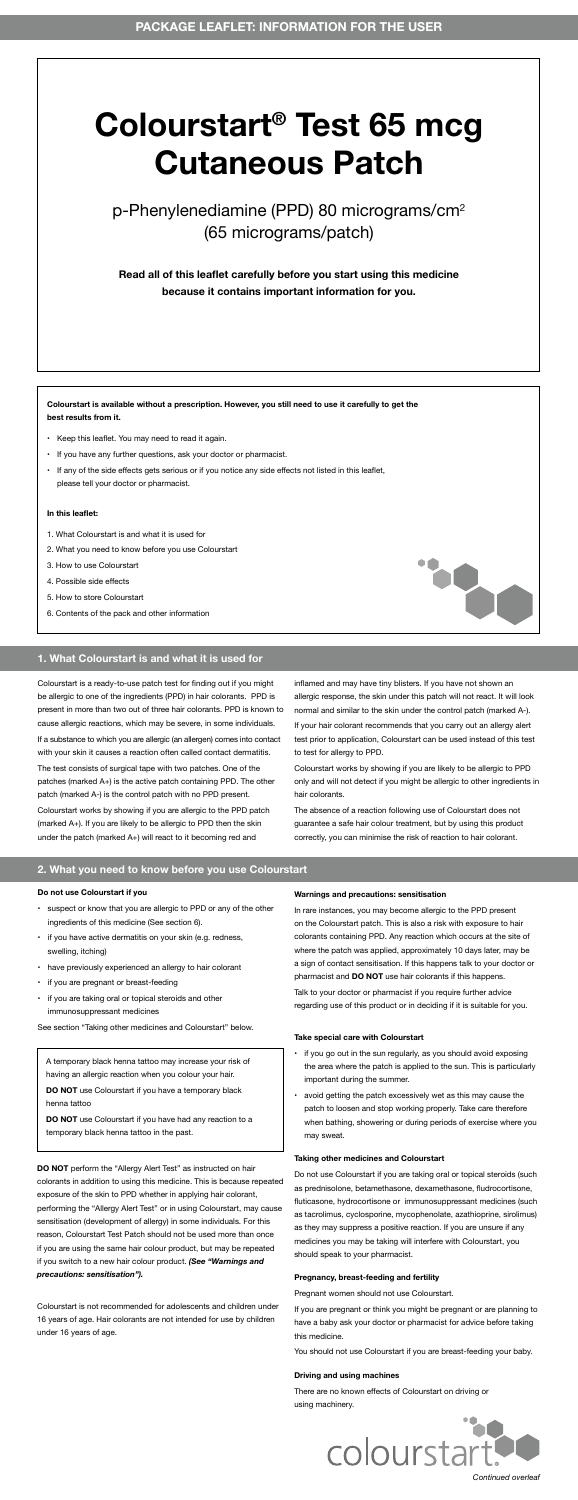Colourstart is a ready-to-use patch test for finding out if you might be allergic to one of the ingredients (PPD) in hair colorants. PPD is present in more than two out of three hair colorants. PPD is known to cause allergic reactions, which may be severe, in some individuals.

If a substance to which you are allergic (an allergen) comes into contact with your skin it causes a reaction often called contact dermatitis.

The test consists of surgical tape with two patches. One of the patches (marked A+) is the active patch containing PPD. The other patch (marked A-) is the control patch with no PPD present.

Colourstart works by showing if you are allergic to the PPD patch (marked A+). If you are likely to be allergic to PPD then the skin under the patch (marked A+) will react to it becoming red and

inflamed and may have tiny blisters. If you have not shown an allergic response, the skin under this patch will not react. It will look normal and similar to the skin under the control patch (marked A-).

If your hair colorant recommends that you carry out an allergy alert test prior to application, Colourstart can be used instead of this test to test for allergy to PPD.

Colourstart works by showing if you are likely to be allergic to PPD only and will not detect if you might be allergic to other ingredients in hair colorants.



The absence of a reaction following use of Colourstart does not guarantee a safe hair colour treatment, but by using this product correctly, you can minimise the risk of reaction to hair colorant.



**Colourstart is available without a prescription. However, you still need to use it carefully to get the best results from it.**

- Keep this leaflet. You may need to read it again.
- If you have any further questions, ask your doctor or pharmacist.
- If any of the side effects gets serious or if you notice any side effects not listed in this leaflet, please tell your doctor or pharmacist.

#### **In this leaflet:**

- 1. What Colourstart is and what it is used for
- 2. What you need to know before you use Colourstart
- 3. How to use Colourstart
- 4. Possible side effects
- 5. How to store Colourstart
- 6. Contents of the pack and other information

#### **Do not use Colourstart if you**

- suspect or know that you are allergic to PPD or any of the other ingredients of this medicine (See section 6).
- if you have active dermatitis on your skin (e.g. redness, swelling, itching)
- have previously experienced an allergy to hair colorant
- if you are pregnant or breast-feeding
- if you are taking oral or topical steroids and other immunosuppressant medicines

See section "Taking other medicines and Colourstart" below.

**DO NOT** perform the "Allergy Alert Test" as instructed on hair colorants in addition to using this medicine. This is because repeated exposure of the skin to PPD whether in applying hair colorant, performing the "Allergy Alert Test" or in using Colourstart, may cause sensitisation (development of allergy) in some individuals. For this reason, Colourstart Test Patch should not be used more than once if you are using the same hair colour product, but may be repeated if you switch to a new hair colour product. *(See "Warnings and precautions: sensitisation").*

Colourstart is not recommended for adolescents and children under 16 years of age. Hair colorants are not intended for use by children under 16 years of age.

#### **Warnings and precautions: sensitisation**

In rare instances, you may become allergic to the PPD present on the Colourstart patch. This is also a risk with exposure to hair colorants containing PPD. Any reaction which occurs at the site of where the patch was applied, approximately 10 days later, may be a sign of contact sensitisation. If this happens talk to your doctor or pharmacist and **DO NOT** use hair colorants if this happens.

Talk to your doctor or pharmacist if you require further advice regarding use of this product or in deciding if it is suitable for you.

#### **Take special care with Colourstart**

- if you go out in the sun regularly, as you should avoid exposing the area where the patch is applied to the sun. This is particularly important during the summer.
- avoid getting the patch excessively wet as this may cause the patch to loosen and stop working properly. Take care therefore when bathing, showering or during periods of exercise where you may sweat.

#### **Taking other medicines and Colourstart**

Do not use Colourstart if you are taking oral or topical steroids (such as prednisolone, betamethasone, dexamethasone, fludrocortisone, fluticasone, hydrocortisone or immunosuppressant medicines (such as tacrolimus, cyclosporine, mycophenolate, azathioprine, sirolimus) as they may suppress a positive reaction. If you are unsure if any medicines you may be taking will interfere with Colourstart, you should speak to your pharmacist.

#### **Pregnancy, breast-feeding and fertility**

Pregnant women should not use Colourstart.

If you are pregnant or think you might be pregnant or are planning to have a baby ask your doctor or pharmacist for advice before taking this medicine.

You should not use Colourstart if you are breast-feeding your baby.

#### **Driving and using machines**

There are no known effects of Colourstart on driving or using machinery.



### **2. What you need to know before you use Colourstart**

A temporary black henna tattoo may increase your risk of having an allergic reaction when you colour your hair.

**DO NOT** use Colourstart if you have a temporary black henna tattoo

**DO NOT** use Colourstart if you have had any reaction to a temporary black henna tattoo in the past.

*Continued overleaf*

# **Colourstart® Test 65 mcg Cutaneous Patch**

## p-Phenylenediamine (PPD) 80 micrograms/cm<sup>2</sup> (65 micrograms/patch)

**Read all of this leaflet carefully before you start using this medicine because it contains important information for you.**